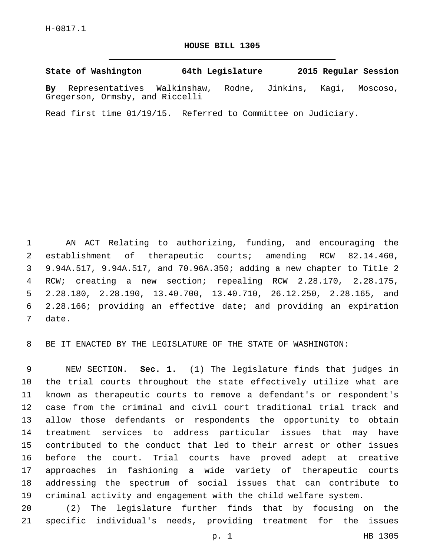## **HOUSE BILL 1305**

## **State of Washington 64th Legislature 2015 Regular Session**

**By** Representatives Walkinshaw, Rodne, Jinkins, Kagi, Moscoso, Gregerson, Ormsby, and Riccelli

Read first time 01/19/15. Referred to Committee on Judiciary.

 AN ACT Relating to authorizing, funding, and encouraging the establishment of therapeutic courts; amending RCW 82.14.460, 9.94A.517, 9.94A.517, and 70.96A.350; adding a new chapter to Title 2 RCW; creating a new section; repealing RCW 2.28.170, 2.28.175, 2.28.180, 2.28.190, 13.40.700, 13.40.710, 26.12.250, 2.28.165, and 2.28.166; providing an effective date; and providing an expiration 7 date.

BE IT ENACTED BY THE LEGISLATURE OF THE STATE OF WASHINGTON:

 NEW SECTION. **Sec. 1.** (1) The legislature finds that judges in the trial courts throughout the state effectively utilize what are known as therapeutic courts to remove a defendant's or respondent's case from the criminal and civil court traditional trial track and allow those defendants or respondents the opportunity to obtain treatment services to address particular issues that may have contributed to the conduct that led to their arrest or other issues before the court. Trial courts have proved adept at creative approaches in fashioning a wide variety of therapeutic courts addressing the spectrum of social issues that can contribute to criminal activity and engagement with the child welfare system.

 (2) The legislature further finds that by focusing on the specific individual's needs, providing treatment for the issues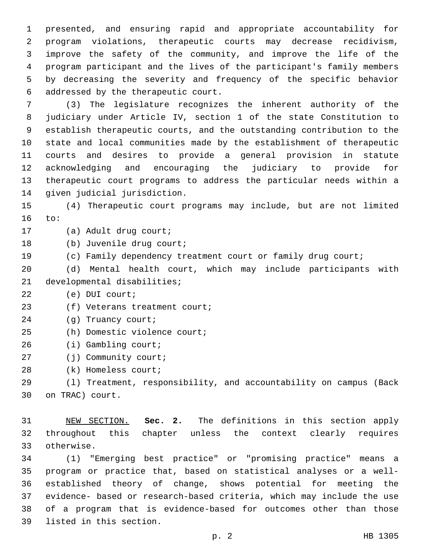presented, and ensuring rapid and appropriate accountability for program violations, therapeutic courts may decrease recidivism, improve the safety of the community, and improve the life of the program participant and the lives of the participant's family members by decreasing the severity and frequency of the specific behavior addressed by the therapeutic court.6

 (3) The legislature recognizes the inherent authority of the judiciary under Article IV, section 1 of the state Constitution to establish therapeutic courts, and the outstanding contribution to the state and local communities made by the establishment of therapeutic courts and desires to provide a general provision in statute acknowledging and encouraging the judiciary to provide for therapeutic court programs to address the particular needs within a 14 given judicial jurisdiction.

15 (4) Therapeutic court programs may include, but are not limited 16 to:

17 (a) Adult drug court;

18 (b) Juvenile drug court;

19 (c) Family dependency treatment court or family drug court;

20 (d) Mental health court, which may include participants with 21 developmental disabilities;

22 (e) DUI court;

23 (f) Veterans treatment court;

24 (g) Truancy court;

25 (h) Domestic violence court;

26 (i) Gambling court;

27 (j) Community court;

28 (k) Homeless court;

29 (l) Treatment, responsibility, and accountability on campus (Back 30 on TRAC) court.

31 NEW SECTION. **Sec. 2.** The definitions in this section apply 32 throughout this chapter unless the context clearly requires 33 otherwise.

 (1) "Emerging best practice" or "promising practice" means a program or practice that, based on statistical analyses or a well- established theory of change, shows potential for meeting the evidence- based or research-based criteria, which may include the use of a program that is evidence-based for outcomes other than those 39 listed in this section.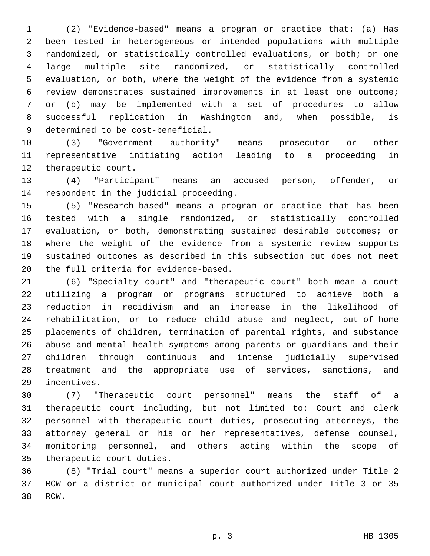(2) "Evidence-based" means a program or practice that: (a) Has been tested in heterogeneous or intended populations with multiple randomized, or statistically controlled evaluations, or both; or one large multiple site randomized, or statistically controlled evaluation, or both, where the weight of the evidence from a systemic review demonstrates sustained improvements in at least one outcome; or (b) may be implemented with a set of procedures to allow successful replication in Washington and, when possible, is 9 determined to be cost-beneficial.

 (3) "Government authority" means prosecutor or other representative initiating action leading to a proceeding in 12 therapeutic court.

 (4) "Participant" means an accused person, offender, or 14 respondent in the judicial proceeding.

 (5) "Research-based" means a program or practice that has been tested with a single randomized, or statistically controlled evaluation, or both, demonstrating sustained desirable outcomes; or where the weight of the evidence from a systemic review supports sustained outcomes as described in this subsection but does not meet 20 the full criteria for evidence-based.

 (6) "Specialty court" and "therapeutic court" both mean a court utilizing a program or programs structured to achieve both a reduction in recidivism and an increase in the likelihood of rehabilitation, or to reduce child abuse and neglect, out-of-home placements of children, termination of parental rights, and substance abuse and mental health symptoms among parents or guardians and their children through continuous and intense judicially supervised treatment and the appropriate use of services, sanctions, and 29 incentives.

 (7) "Therapeutic court personnel" means the staff of a therapeutic court including, but not limited to: Court and clerk personnel with therapeutic court duties, prosecuting attorneys, the attorney general or his or her representatives, defense counsel, monitoring personnel, and others acting within the scope of 35 therapeutic court duties.

 (8) "Trial court" means a superior court authorized under Title 2 RCW or a district or municipal court authorized under Title 3 or 35 38 RCW.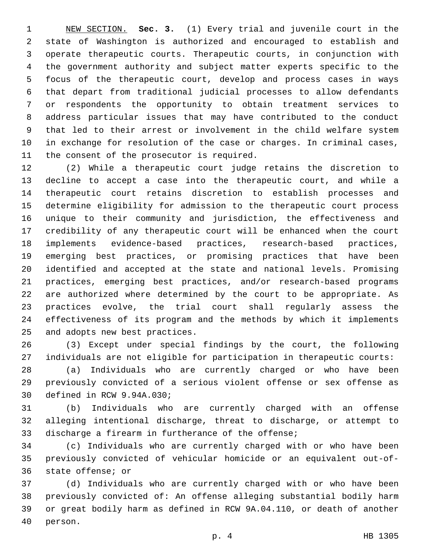NEW SECTION. **Sec. 3.** (1) Every trial and juvenile court in the state of Washington is authorized and encouraged to establish and operate therapeutic courts. Therapeutic courts, in conjunction with the government authority and subject matter experts specific to the focus of the therapeutic court, develop and process cases in ways that depart from traditional judicial processes to allow defendants or respondents the opportunity to obtain treatment services to address particular issues that may have contributed to the conduct that led to their arrest or involvement in the child welfare system in exchange for resolution of the case or charges. In criminal cases, the consent of the prosecutor is required.

 (2) While a therapeutic court judge retains the discretion to decline to accept a case into the therapeutic court, and while a therapeutic court retains discretion to establish processes and determine eligibility for admission to the therapeutic court process unique to their community and jurisdiction, the effectiveness and credibility of any therapeutic court will be enhanced when the court implements evidence-based practices, research-based practices, emerging best practices, or promising practices that have been identified and accepted at the state and national levels. Promising practices, emerging best practices, and/or research-based programs are authorized where determined by the court to be appropriate. As practices evolve, the trial court shall regularly assess the effectiveness of its program and the methods by which it implements 25 and adopts new best practices.

 (3) Except under special findings by the court, the following individuals are not eligible for participation in therapeutic courts:

 (a) Individuals who are currently charged or who have been previously convicted of a serious violent offense or sex offense as 30 defined in RCW 9.94A.030;

 (b) Individuals who are currently charged with an offense alleging intentional discharge, threat to discharge, or attempt to discharge a firearm in furtherance of the offense;

 (c) Individuals who are currently charged with or who have been previously convicted of vehicular homicide or an equivalent out-of-36 state offense; or

 (d) Individuals who are currently charged with or who have been previously convicted of: An offense alleging substantial bodily harm or great bodily harm as defined in RCW 9A.04.110, or death of another 40 person.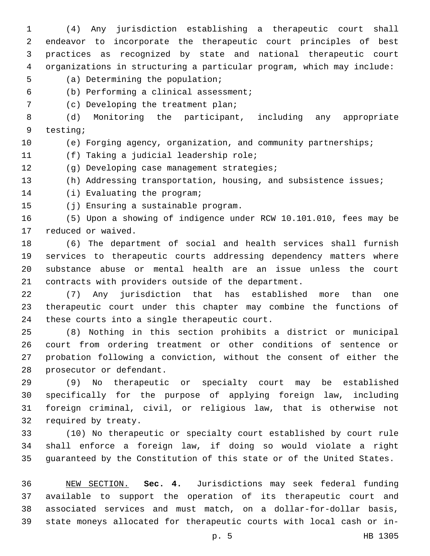(4) Any jurisdiction establishing a therapeutic court shall endeavor to incorporate the therapeutic court principles of best practices as recognized by state and national therapeutic court organizations in structuring a particular program, which may include: 5 (a) Determining the population; (b) Performing a clinical assessment;6 (c) Developing the treatment plan;7 (d) Monitoring the participant, including any appropriate 9 testing; (e) Forging agency, organization, and community partnerships; 11 (f) Taking a judicial leadership role; 12 (g) Developing case management strategies; (h) Addressing transportation, housing, and subsistence issues; 14 (i) Evaluating the program; 15 (j) Ensuring a sustainable program. (5) Upon a showing of indigence under RCW 10.101.010, fees may be 17 reduced or waived. (6) The department of social and health services shall furnish services to therapeutic courts addressing dependency matters where substance abuse or mental health are an issue unless the court contracts with providers outside of the department. (7) Any jurisdiction that has established more than one therapeutic court under this chapter may combine the functions of

24 these courts into a single therapeutic court.

 (8) Nothing in this section prohibits a district or municipal court from ordering treatment or other conditions of sentence or probation following a conviction, without the consent of either the 28 prosecutor or defendant.

 (9) No therapeutic or specialty court may be established specifically for the purpose of applying foreign law, including foreign criminal, civil, or religious law, that is otherwise not 32 required by treaty.

 (10) No therapeutic or specialty court established by court rule shall enforce a foreign law, if doing so would violate a right guaranteed by the Constitution of this state or of the United States.

 NEW SECTION. **Sec. 4.** Jurisdictions may seek federal funding available to support the operation of its therapeutic court and associated services and must match, on a dollar-for-dollar basis, state moneys allocated for therapeutic courts with local cash or in-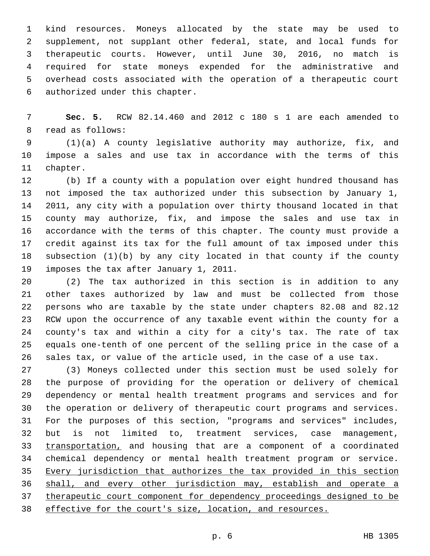kind resources. Moneys allocated by the state may be used to supplement, not supplant other federal, state, and local funds for therapeutic courts. However, until June 30, 2016, no match is required for state moneys expended for the administrative and overhead costs associated with the operation of a therapeutic court 6 authorized under this chapter.

 **Sec. 5.** RCW 82.14.460 and 2012 c 180 s 1 are each amended to 8 read as follows:

 (1)(a) A county legislative authority may authorize, fix, and impose a sales and use tax in accordance with the terms of this 11 chapter.

 (b) If a county with a population over eight hundred thousand has not imposed the tax authorized under this subsection by January 1, 2011, any city with a population over thirty thousand located in that county may authorize, fix, and impose the sales and use tax in accordance with the terms of this chapter. The county must provide a credit against its tax for the full amount of tax imposed under this subsection (1)(b) by any city located in that county if the county 19 imposes the tax after January 1, 2011.

 (2) The tax authorized in this section is in addition to any other taxes authorized by law and must be collected from those persons who are taxable by the state under chapters 82.08 and 82.12 RCW upon the occurrence of any taxable event within the county for a county's tax and within a city for a city's tax. The rate of tax equals one-tenth of one percent of the selling price in the case of a sales tax, or value of the article used, in the case of a use tax.

 (3) Moneys collected under this section must be used solely for the purpose of providing for the operation or delivery of chemical dependency or mental health treatment programs and services and for the operation or delivery of therapeutic court programs and services. For the purposes of this section, "programs and services" includes, but is not limited to, treatment services, case management, transportation, and housing that are a component of a coordinated chemical dependency or mental health treatment program or service. Every jurisdiction that authorizes the tax provided in this section shall, and every other jurisdiction may, establish and operate a therapeutic court component for dependency proceedings designed to be effective for the court's size, location, and resources.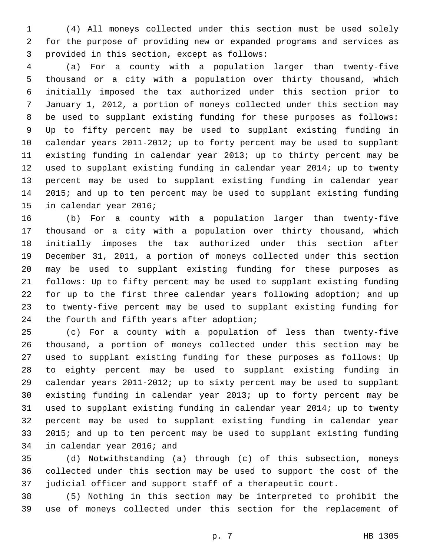(4) All moneys collected under this section must be used solely for the purpose of providing new or expanded programs and services as 3 provided in this section, except as follows:

 (a) For a county with a population larger than twenty-five thousand or a city with a population over thirty thousand, which initially imposed the tax authorized under this section prior to January 1, 2012, a portion of moneys collected under this section may be used to supplant existing funding for these purposes as follows: Up to fifty percent may be used to supplant existing funding in calendar years 2011-2012; up to forty percent may be used to supplant existing funding in calendar year 2013; up to thirty percent may be used to supplant existing funding in calendar year 2014; up to twenty percent may be used to supplant existing funding in calendar year 2015; and up to ten percent may be used to supplant existing funding 15 in calendar year 2016;

 (b) For a county with a population larger than twenty-five thousand or a city with a population over thirty thousand, which initially imposes the tax authorized under this section after December 31, 2011, a portion of moneys collected under this section may be used to supplant existing funding for these purposes as follows: Up to fifty percent may be used to supplant existing funding for up to the first three calendar years following adoption; and up to twenty-five percent may be used to supplant existing funding for 24 the fourth and fifth years after adoption;

 (c) For a county with a population of less than twenty-five thousand, a portion of moneys collected under this section may be used to supplant existing funding for these purposes as follows: Up to eighty percent may be used to supplant existing funding in calendar years 2011-2012; up to sixty percent may be used to supplant existing funding in calendar year 2013; up to forty percent may be used to supplant existing funding in calendar year 2014; up to twenty percent may be used to supplant existing funding in calendar year 2015; and up to ten percent may be used to supplant existing funding 34 in calendar year 2016; and

 (d) Notwithstanding (a) through (c) of this subsection, moneys collected under this section may be used to support the cost of the judicial officer and support staff of a therapeutic court.

 (5) Nothing in this section may be interpreted to prohibit the use of moneys collected under this section for the replacement of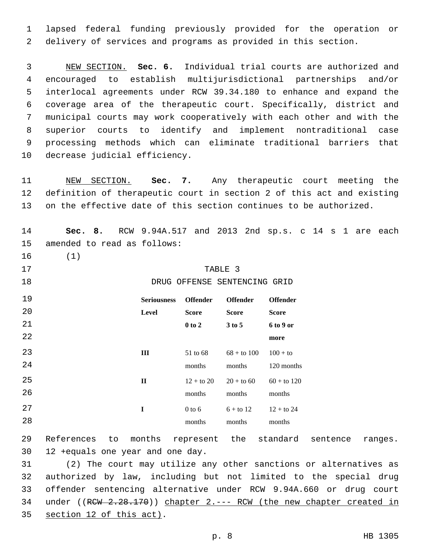1 lapsed federal funding previously provided for the operation or 2 delivery of services and programs as provided in this section.

 NEW SECTION. **Sec. 6.** Individual trial courts are authorized and encouraged to establish multijurisdictional partnerships and/or interlocal agreements under RCW 39.34.180 to enhance and expand the coverage area of the therapeutic court. Specifically, district and municipal courts may work cooperatively with each other and with the superior courts to identify and implement nontraditional case processing methods which can eliminate traditional barriers that decrease judicial efficiency.

11 NEW SECTION. **Sec. 7.** Any therapeutic court meeting the 12 definition of therapeutic court in section 2 of this act and existing 13 on the effective date of this section continues to be authorized.

14 **Sec. 8.** RCW 9.94A.517 and 2013 2nd sp.s. c 14 s 1 are each 15 amended to read as follows: 16 (1) 17 TABLE 3 18 **DRUG OFFENSE SENTENCING GRID** 19 20 21 22 **Seriousness Offender Level Score 0 to 2 Offender Score 3 to 5 Offender Score 6 to 9 or more** 23 24 **III** 51 to 68 months  $68 +$  to  $100$ months  $100 +$  to 120 months 25 26 **II**  $12 +$  to 20 months  $20 +$  to 60 months  $60 +$  to 120 months 27 28 **I** 0 to 6 months  $6 +$  to 12 months  $12 +$  to 24 months

29 References to months represent the standard sentence ranges. 12 +equals one year and one day.

31 (2) The court may utilize any other sanctions or alternatives as 32 authorized by law, including but not limited to the special drug 33 offender sentencing alternative under RCW 9.94A.660 or drug court 34 under ((RCW 2.28.170)) chapter 2.--- RCW (the new chapter created in 35 section 12 of this act).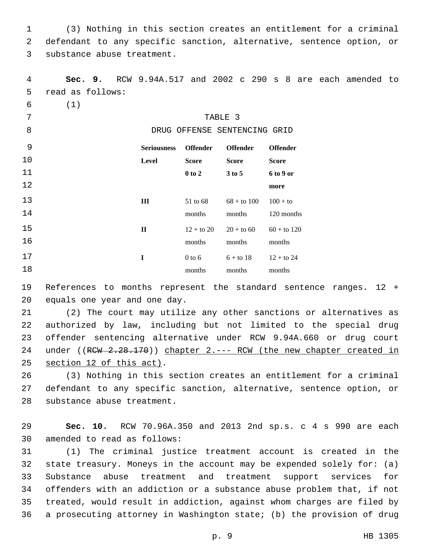1 (3) Nothing in this section creates an entitlement for a criminal 2 defendant to any specific sanction, alternative, sentence option, or 3 substance abuse treatment.

4 **Sec. 9.** RCW 9.94A.517 and 2002 c 290 s 8 are each amended to 5 read as follows: 6 (1) TABLE 3 8 DRUG OFFENSE SENTENCING GRID 9 10 11 12 **Seriousness Level Offender Score 0 to 2 Offender Score 3 to 5 Offender Score 6 to 9 or more** 13 14 **III** 51 to 68 months  $68 +$  to  $100$ months  $100 +$  to 120 months 15 16 **II**  $12 +$  to 20  $20 +$  to 60 months months  $60 +$  to 120 months 17 18 **I** 0 to 6 months  $6 +$  to 18 months  $12 +$  to 24 months

19 References to months represent the standard sentence ranges. 12 + 20 equals one year and one day.

21 (2) The court may utilize any other sanctions or alternatives as 22 authorized by law, including but not limited to the special drug 23 offender sentencing alternative under RCW 9.94A.660 or drug court 24 under ((RCW 2.28.170)) chapter 2.--- RCW (the new chapter created in 25 section 12 of this act).

26 (3) Nothing in this section creates an entitlement for a criminal 27 defendant to any specific sanction, alternative, sentence option, or 28 substance abuse treatment.

29 **Sec. 10.** RCW 70.96A.350 and 2013 2nd sp.s. c 4 s 990 are each 30 amended to read as follows:

 (1) The criminal justice treatment account is created in the state treasury. Moneys in the account may be expended solely for: (a) Substance abuse treatment and treatment support services for offenders with an addiction or a substance abuse problem that, if not treated, would result in addiction, against whom charges are filed by a prosecuting attorney in Washington state; (b) the provision of drug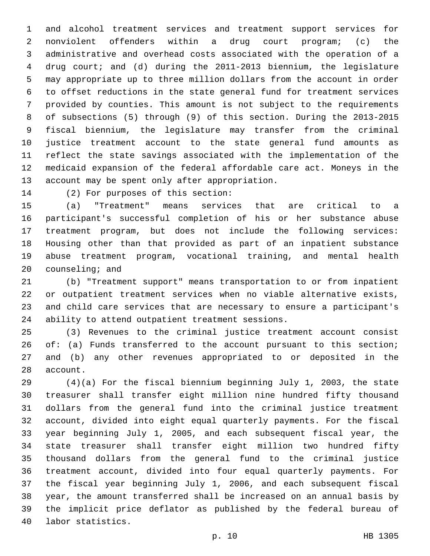and alcohol treatment services and treatment support services for nonviolent offenders within a drug court program; (c) the administrative and overhead costs associated with the operation of a drug court; and (d) during the 2011-2013 biennium, the legislature may appropriate up to three million dollars from the account in order to offset reductions in the state general fund for treatment services provided by counties. This amount is not subject to the requirements of subsections (5) through (9) of this section. During the 2013-2015 fiscal biennium, the legislature may transfer from the criminal justice treatment account to the state general fund amounts as reflect the state savings associated with the implementation of the medicaid expansion of the federal affordable care act. Moneys in the 13 account may be spent only after appropriation.

14 (2) For purposes of this section:

 (a) "Treatment" means services that are critical to a participant's successful completion of his or her substance abuse treatment program, but does not include the following services: Housing other than that provided as part of an inpatient substance abuse treatment program, vocational training, and mental health counseling; and

 (b) "Treatment support" means transportation to or from inpatient or outpatient treatment services when no viable alternative exists, and child care services that are necessary to ensure a participant's 24 ability to attend outpatient treatment sessions.

 (3) Revenues to the criminal justice treatment account consist 26 of: (a) Funds transferred to the account pursuant to this section; and (b) any other revenues appropriated to or deposited in the 28 account.

 (4)(a) For the fiscal biennium beginning July 1, 2003, the state treasurer shall transfer eight million nine hundred fifty thousand dollars from the general fund into the criminal justice treatment account, divided into eight equal quarterly payments. For the fiscal year beginning July 1, 2005, and each subsequent fiscal year, the state treasurer shall transfer eight million two hundred fifty thousand dollars from the general fund to the criminal justice treatment account, divided into four equal quarterly payments. For the fiscal year beginning July 1, 2006, and each subsequent fiscal year, the amount transferred shall be increased on an annual basis by the implicit price deflator as published by the federal bureau of 40 labor statistics.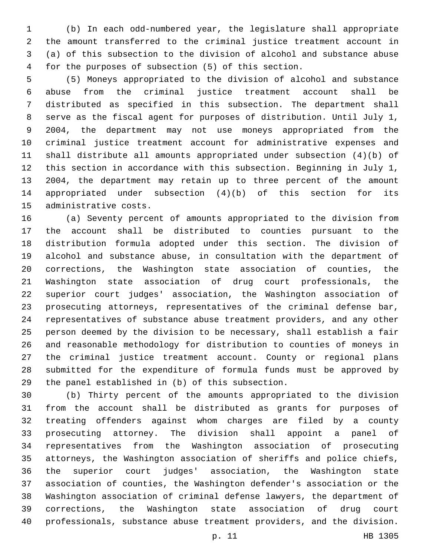(b) In each odd-numbered year, the legislature shall appropriate the amount transferred to the criminal justice treatment account in (a) of this subsection to the division of alcohol and substance abuse for the purposes of subsection (5) of this section.

 (5) Moneys appropriated to the division of alcohol and substance abuse from the criminal justice treatment account shall be distributed as specified in this subsection. The department shall serve as the fiscal agent for purposes of distribution. Until July 1, 2004, the department may not use moneys appropriated from the criminal justice treatment account for administrative expenses and shall distribute all amounts appropriated under subsection (4)(b) of this section in accordance with this subsection. Beginning in July 1, 2004, the department may retain up to three percent of the amount appropriated under subsection (4)(b) of this section for its 15 administrative costs.

 (a) Seventy percent of amounts appropriated to the division from the account shall be distributed to counties pursuant to the distribution formula adopted under this section. The division of alcohol and substance abuse, in consultation with the department of corrections, the Washington state association of counties, the Washington state association of drug court professionals, the superior court judges' association, the Washington association of prosecuting attorneys, representatives of the criminal defense bar, representatives of substance abuse treatment providers, and any other person deemed by the division to be necessary, shall establish a fair and reasonable methodology for distribution to counties of moneys in the criminal justice treatment account. County or regional plans submitted for the expenditure of formula funds must be approved by 29 the panel established in (b) of this subsection.

 (b) Thirty percent of the amounts appropriated to the division from the account shall be distributed as grants for purposes of treating offenders against whom charges are filed by a county prosecuting attorney. The division shall appoint a panel of representatives from the Washington association of prosecuting attorneys, the Washington association of sheriffs and police chiefs, the superior court judges' association, the Washington state association of counties, the Washington defender's association or the Washington association of criminal defense lawyers, the department of corrections, the Washington state association of drug court professionals, substance abuse treatment providers, and the division.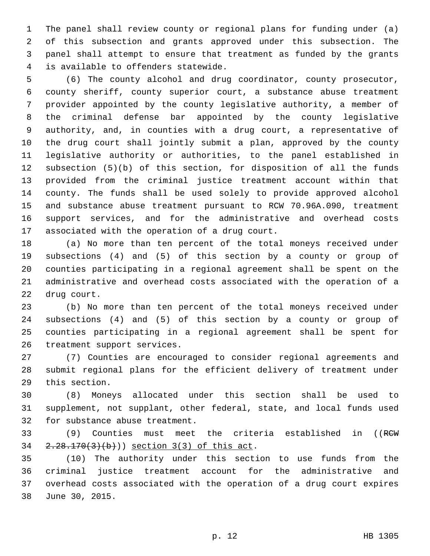The panel shall review county or regional plans for funding under (a) of this subsection and grants approved under this subsection. The panel shall attempt to ensure that treatment as funded by the grants is available to offenders statewide.4

 (6) The county alcohol and drug coordinator, county prosecutor, county sheriff, county superior court, a substance abuse treatment provider appointed by the county legislative authority, a member of the criminal defense bar appointed by the county legislative authority, and, in counties with a drug court, a representative of the drug court shall jointly submit a plan, approved by the county legislative authority or authorities, to the panel established in subsection (5)(b) of this section, for disposition of all the funds provided from the criminal justice treatment account within that county. The funds shall be used solely to provide approved alcohol and substance abuse treatment pursuant to RCW 70.96A.090, treatment support services, and for the administrative and overhead costs 17 associated with the operation of a drug court.

 (a) No more than ten percent of the total moneys received under subsections (4) and (5) of this section by a county or group of counties participating in a regional agreement shall be spent on the administrative and overhead costs associated with the operation of a 22 drug court.

 (b) No more than ten percent of the total moneys received under subsections (4) and (5) of this section by a county or group of counties participating in a regional agreement shall be spent for 26 treatment support services.

 (7) Counties are encouraged to consider regional agreements and submit regional plans for the efficient delivery of treatment under 29 this section.

 (8) Moneys allocated under this section shall be used to supplement, not supplant, other federal, state, and local funds used 32 for substance abuse treatment.

 (9) Counties must meet the criteria established in ((RCW 34  $2.28.170(3)(b)$ ) section 3(3) of this act.

 (10) The authority under this section to use funds from the criminal justice treatment account for the administrative and overhead costs associated with the operation of a drug court expires 38 June 30, 2015.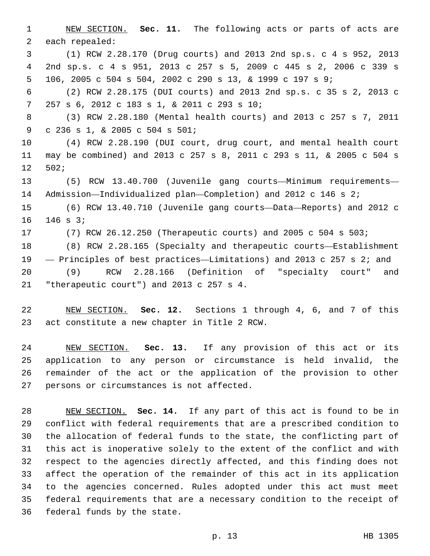NEW SECTION. **Sec. 11.** The following acts or parts of acts are 2 each repealed: (1) RCW 2.28.170 (Drug courts) and 2013 2nd sp.s. c 4 s 952, 2013 2nd sp.s. c 4 s 951, 2013 c 257 s 5, 2009 c 445 s 2, 2006 c 339 s 106, 2005 c 504 s 504, 2002 c 290 s 13, & 1999 c 197 s 9; (2) RCW 2.28.175 (DUI courts) and 2013 2nd sp.s. c 35 s 2, 2013 c 257 s 6, 2012 c 183 s 1, & 2011 c 293 s 10;7 (3) RCW 2.28.180 (Mental health courts) and 2013 c 257 s 7, 2011 c 236 s 1, & 2005 c 504 s 501;9 (4) RCW 2.28.190 (DUI court, drug court, and mental health court may be combined) and 2013 c 257 s 8, 2011 c 293 s 11, & 2005 c 504 s 502;12 (5) RCW 13.40.700 (Juvenile gang courts—Minimum requirements— Admission—Individualized plan—Completion) and 2012 c 146 s 2; (6) RCW 13.40.710 (Juvenile gang courts—Data—Reports) and 2012 c 16 146 s 3; (7) RCW 26.12.250 (Therapeutic courts) and 2005 c 504 s 503; (8) RCW 2.28.165 (Specialty and therapeutic courts—Establishment — Principles of best practices—Limitations) and 2013 c 257 s 2; and (9) RCW 2.28.166 (Definition of "specialty court" and 21 "therapeutic court") and 2013 c 257 s 4.

 NEW SECTION. **Sec. 12.** Sections 1 through 4, 6, and 7 of this act constitute a new chapter in Title 2 RCW.

 NEW SECTION. **Sec. 13.** If any provision of this act or its application to any person or circumstance is held invalid, the remainder of the act or the application of the provision to other persons or circumstances is not affected.

 NEW SECTION. **Sec. 14.** If any part of this act is found to be in conflict with federal requirements that are a prescribed condition to the allocation of federal funds to the state, the conflicting part of this act is inoperative solely to the extent of the conflict and with respect to the agencies directly affected, and this finding does not affect the operation of the remainder of this act in its application to the agencies concerned. Rules adopted under this act must meet federal requirements that are a necessary condition to the receipt of federal funds by the state.